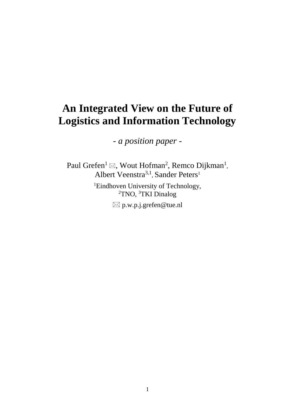# **An Integrated View on the Future of Logistics and Information Technology**

*- a position paper -*

Paul Grefen<sup>1</sup>  $\boxtimes$ , Wout Hofman<sup>2</sup>, Remco Dijkman<sup>1</sup>, Albert Veenstra<sup>3,1</sup>, Sander Peters<sup>1</sup>

> <sup>1</sup>Eindhoven University of Technology, <sup>2</sup>TNO, <sup>3</sup>TKI Dinalog p.w.p.j.grefen@tue.nl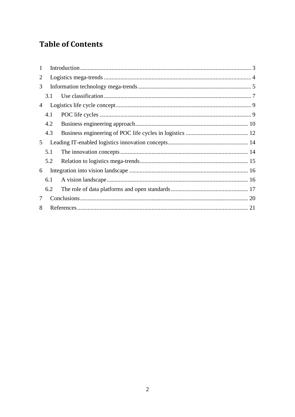## **Table of Contents**

| 1 |     |  |  |  |  |  |
|---|-----|--|--|--|--|--|
| 2 |     |  |  |  |  |  |
| 3 |     |  |  |  |  |  |
|   | 3.1 |  |  |  |  |  |
| 4 |     |  |  |  |  |  |
|   | 4.1 |  |  |  |  |  |
|   | 4.2 |  |  |  |  |  |
|   | 4.3 |  |  |  |  |  |
| 5 |     |  |  |  |  |  |
|   | 5.1 |  |  |  |  |  |
|   | 5.2 |  |  |  |  |  |
| 6 |     |  |  |  |  |  |
|   | 6.1 |  |  |  |  |  |
|   | 6.2 |  |  |  |  |  |
| 7 |     |  |  |  |  |  |
| 8 |     |  |  |  |  |  |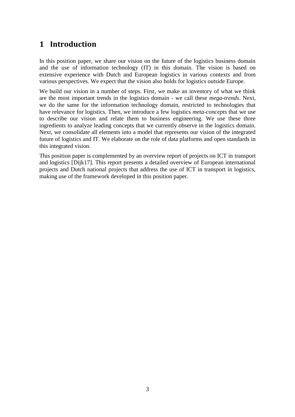### <span id="page-2-0"></span>**1 Introduction**

In this position paper, we share our vision on the future of the logistics business domain and the use of information technology (IT) in this domain. The vision is based on extensive experience with Dutch and European logistics in various contexts and from various perspectives. We expect that the vision also holds for logistics outside Europe.

We build our vision in a number of steps. First, we make an inventory of what we think are the most important trends in the logistics domain - we call these *mega-trends*. Next, we do the same for the information technology domain, restricted to technologies that have relevance for logistics. Then, we introduce a few logistics *meta-concepts* that we use to describe our vision and relate them to business engineering. We use these three ingredients to analyze leading concepts that we currently observe in the logistics domain. Next, we consolidate all elements into a model that represents our vision of the integrated future of logistics and IT. We elaborate on the role of data platforms and open standards in this integrated vision.

This position paper is complemented by an overview report of projects on ICT in transport and logistics [Dijk17]. This report presents a detailed overview of European international projects and Dutch national projects that address the use of ICT in transport in logistics, making use of the framework developed in this position paper.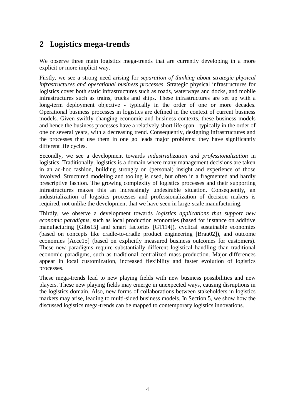### <span id="page-3-0"></span>**2 Logistics mega-trends**

We observe three main logistics mega-trends that are currently developing in a more explicit or more implicit way.

Firstly, we see a strong need arising for *separation of thinking about strategic physical infrastructures and operational business processes*. Strategic physical infrastructures for logistics cover both static infrastructures such as roads, waterways and docks, and mobile infrastructures such as trains, trucks and ships. These infrastructures are set up with a long-term deployment objective - typically in the order of one or more decades. Operational business processes in logistics are defined in the context of current business models. Given swiftly changing economic and business contexts, these business models and hence the business processes have a relatively short life span - typically in the order of one or several years, with a decreasing trend. Consequently, designing infrastructures and the processes that use them in one go leads major problems: they have significantly different life cycles.

Secondly, we see a development towards *industrialization and professionalization* in logistics. Traditionally, logistics is a domain where many management decisions are taken in an ad-hoc fashion, building strongly on (personal) insight and experience of those involved. Structured modeling and tooling is used, but often in a fragmented and hardly prescriptive fashion. The growing complexity of logistics processes and their supporting infrastructures makes this an increasingly undesirable situation. Consequently, an industrialization of logistics processes and professionalization of decision makers is required, not unlike the development that we have seen in large-scale manufacturing.

Thirdly, we observe a development towards *logistics applications that support new economic paradigms*, such as local production economies (based for instance on additive manufacturing [Gibs15] and smart factories [GTI14]), cyclical sustainable economies (based on concepts like cradle-to-cradle product engineering [Brau02]), and outcome economies [Acce15] (based on explicitly measured business outcomes for customers). These new paradigms require substantially different logistical handling than traditional economic paradigms, such as traditional centralized mass-production. Major differences appear in local customization, increased flexibility and faster evolution of logistics processes.

These mega-trends lead to new playing fields with new business possibilities and new players. These new playing fields may emerge in unexpected ways, causing disruptions in the logistics domain. Also, new forms of collaborations between stakeholders in logistics markets may arise, leading to multi-sided business models. In Section [5,](#page-13-0) we show how the discussed logistics mega-trends can be mapped to contemporary logistics innovations.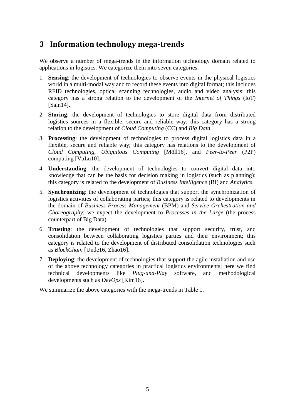### <span id="page-4-0"></span>**3 Information technology mega-trends**

We observe a number of mega-trends in the information technology domain related to applications in logistics. We categorize them into seven categories:

- 1. **Sensing**: the development of technologies to observe events in the physical logistics world in a multi-modal way and to record these events into digital format; this includes RFID technologies, optical scanning technologies, audio and video analysis; this category has a strong relation to the development of the *Internet of Things* (IoT) [Sain14].
- 2. **Storing**: the development of technologies to store digital data from distributed logistics sources in a flexible, secure and reliable way; this category has a strong relation to the development of *Cloud Computing* (CC) and *Big Data*.
- 3. **Processing**: the development of technologies to process digital logistics data in a flexible, secure and reliable way; this category has relations to the development of *Cloud Computing, Ubiquitous Computing* [Möll16], and *Peer-to-Peer* (P2P) computing [VuLu10].
- 4. **Understanding**: the development of technologies to convert digital data into knowledge that can be the basis for decision making in logistics (such as planning); this category is related to the development of *Business Intelligence* (BI) and *Analytics*.
- 5. **Synchronizing**: the development of technologies that support the synchronization of logistics activities of collaborating parties; this category is related to developments in the domain of *Business Process Management* (BPM) and *Service Orchestration and Choreography*; we expect the development to *Processes in the Large* (the process counterpart of Big Data).
- 6. **Trusting**: the development of technologies that support security, trust, and consolidation between collaborating logistics parties and their environment; this category is related to the development of distributed consolidation technologies such as *BlockChain* [Unde16, Zhao16].
- 7. **Deploying**: the development of technologies that support the agile installation and use of the above technology categories in practical logistics environments; here we find technical developments like *Plug-and-Play* software, and methodological developments such as *DevOps* [Kim16].

We summarize the above categories with the mega-trends in Table 1.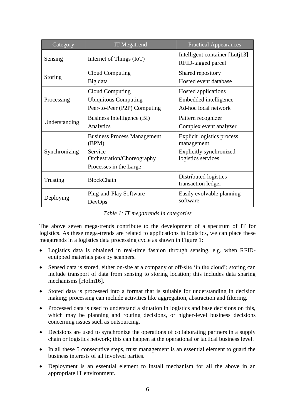| Category      | <b>IT</b> Megatrend                                                                                            | <b>Practical Appearances</b>                                                              |  |  |
|---------------|----------------------------------------------------------------------------------------------------------------|-------------------------------------------------------------------------------------------|--|--|
| Sensing       | Internet of Things (IoT)                                                                                       | Intelligent container [Lütj13]<br>RFID-tagged parcel                                      |  |  |
| Storing       | Cloud Computing<br>Big data                                                                                    | Shared repository<br>Hosted event database                                                |  |  |
| Processing    | Cloud Computing<br><b>Ubiquitous Computing</b><br>Peer-to-Peer (P2P) Computing                                 | Hosted applications<br>Embedded intelligence<br>Ad-hoc local network                      |  |  |
| Understanding | Business Intelligence (BI)<br>Analytics                                                                        | Pattern recognizer<br>Complex event analyzer                                              |  |  |
| Synchronizing | <b>Business Process Management</b><br>(BPM)<br>Service<br>Orchestration/Choreography<br>Processes in the Large | Explicit logistics process<br>management<br>Explicitly synchronized<br>logistics services |  |  |
| Trusting      | <b>BlockChain</b>                                                                                              | Distributed logistics<br>transaction ledger                                               |  |  |
| Deploying     | Plug-and-Play Software<br>DevOps                                                                               | Easily evolvable planning<br>software                                                     |  |  |

|  | Table 1: IT megatrends in categories |  |
|--|--------------------------------------|--|
|  |                                      |  |

The above seven mega-trends contribute to the development of a spectrum of IT for logistics. As these mega-trends are related to applications in logistics, we can place these megatrends in a logistics data processing cycle as shown in Figure 1:

- Logistics data is obtained in real-time fashion through sensing, e.g. when RFIDequipped materials pass by scanners.
- Sensed data is stored, either on-site at a company or off-site 'in the cloud'; storing can include transport of data from sensing to storing location; this includes data sharing mechanisms [Hofm16].
- Stored data is processed into a format that is suitable for understanding in decision making; processing can include activities like aggregation, abstraction and filtering.
- Processed data is used to understand a situation in logistics and base decisions on this, which may be planning and routing decisions, or higher-level business decisions concerning issues such as outsourcing.
- Decisions are used to synchronize the operations of collaborating partners in a supply chain or logistics network; this can happen at the operational or tactical business level.
- In all these 5 consecutive steps, trust management is an essential element to guard the business interests of all involved parties.
- Deployment is an essential element to install mechanism for all the above in an appropriate IT environment.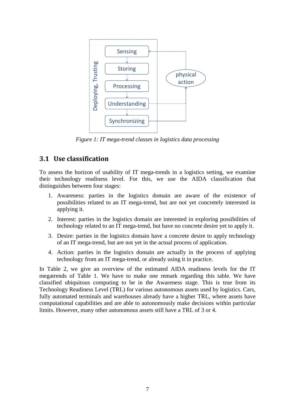

*Figure 1: IT mega-trend classes in logistics data processing*

#### <span id="page-6-0"></span>**3.1 Use classification**

To assess the horizon of usability of IT mega-trends in a logistics setting, we examine their technology readiness level. For this, we use the AIDA classification that distinguishes between four stages:

- 1. Awareness: parties in the logistics domain are aware of the existence of possibilities related to an IT mega-trend, but are not yet concretely interested in applying it.
- 2. Interest: parties in the logistics domain are interested in exploring possibilities of technology related to an IT mega-trend, but have no concrete desire yet to apply it.
- 3. Desire: parties in the logistics domain have a concrete desire to apply technology of an IT mega-trend, but are not yet in the actual process of application.
- 4. Action: parties in the logistics domain are actually in the process of applying technology from an IT mega-trend, or already using it in practice.

In Table 2, we give an overview of the estimated AIDA readiness levels for the IT megatrends of Table 1. We have to make one remark regarding this table. We have classified ubiquitous computing to be in the Awareness stage. This is true from its Technology Readiness Level (TRL) for various autonomous assets used by logistics. Cars, fully automated terminals and warehouses already have a higher TRL, where assets have computational capabilities and are able to autonomously make decisions within particular limits. However, many other autonomous assets still have a TRL of 3 or 4.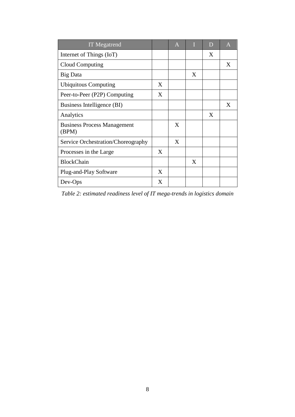| <b>IT</b> Megatrend                         |   | $\mathbf{A}$ |   | D | $\mathsf{A}$ |
|---------------------------------------------|---|--------------|---|---|--------------|
| Internet of Things (IoT)                    |   |              |   | X |              |
| Cloud Computing                             |   |              |   |   | X            |
| Big Data                                    |   |              | X |   |              |
| <b>Ubiquitous Computing</b>                 | X |              |   |   |              |
| Peer-to-Peer (P2P) Computing                | X |              |   |   |              |
| Business Intelligence (BI)                  |   |              |   |   | X            |
| Analytics                                   |   |              |   | X |              |
| <b>Business Process Management</b><br>(BPM) |   | X            |   |   |              |
| Service Orchestration/Choreography          |   | X            |   |   |              |
| Processes in the Large                      | X |              |   |   |              |
| <b>BlockChain</b>                           |   |              | X |   |              |
| Plug-and-Play Software                      | X |              |   |   |              |
| Dev-Ops                                     | X |              |   |   |              |

*Table 2: estimated readiness level of IT mega-trends in logistics domain*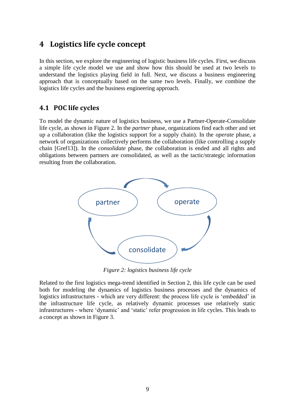#### <span id="page-8-0"></span>**4 Logistics life cycle concept**

In this section, we explore the engineering of logistic business life cycles. First, we discuss a simple life cycle model we use and show how this should be used at two levels to understand the logistics playing field in full. Next, we discuss a business engineering approach that is conceptually based on the same two levels. Finally, we combine the logistics life cycles and the business engineering approach.

#### <span id="page-8-1"></span>**4.1 POC life cycles**

To model the dynamic nature of logistics business, we use a Partner-Operate-Consolidate life cycle, as shown in Figure 2. In the *partner* phase, organizations find each other and set up a collaboration (like the logistics support for a supply chain). In the *operate* phase, a network of organizations collectively performs the collaboration (like controlling a supply chain [Gref13]). In the *consolidate* phase, the collaboration is ended and all rights and obligations between partners are consolidated, as well as the tactic/strategic information resulting from the collaboration.



*Figure 2: logistics business life cycle*

Related to the first logistics mega-trend identified in Section 2, this life cycle can be used both for modeling the dynamics of logistics business processes and the dynamics of logistics infrastructures - which are very different: the process life cycle is 'embedded' in the infrastructure life cycle, as relatively dynamic processes use relatively static infrastructures - where 'dynamic' and 'static' refer progression in life cycles. This leads to a concept as shown in Figure 3.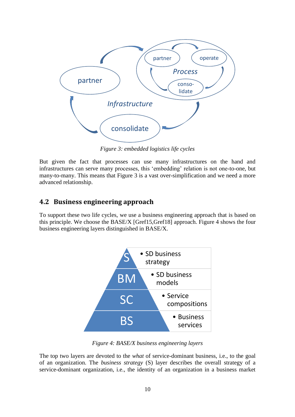

*Figure 3: embedded logistics life cycles*

But given the fact that processes can use many infrastructures on the hand and infrastructures can serve many processes, this 'embedding' relation is not one-to-one, but many-to-many. This means that Figure 3 is a vast over-simplification and we need a more advanced relationship.

#### <span id="page-9-0"></span>**4.2 Business engineering approach**

To support these two life cycles, we use a business engineering approach that is based on this principle. We choose the BASE/X [Gref15,Gref18] approach. Figure 4 shows the four business engineering layers distinguished in BASE/X.



*Figure 4: BASE/X business engineering layers*

The top two layers are devoted to the *what* of service-dominant business, i.e., to the goal of an organization. The *business strategy* (S) layer describes the overall strategy of a service-dominant organization, i.e., the identity of an organization in a business market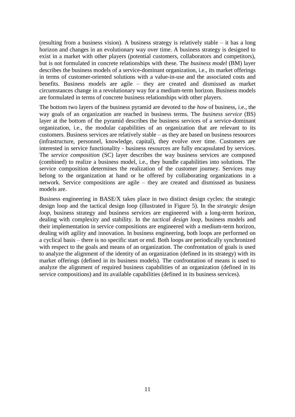(resulting from a business vision). A business strategy is relatively stable – it has a long horizon and changes in an evolutionary way over time. A business strategy is designed to exist in a market with other players (potential customers, collaborators and competitors), but is not formulated in concrete relationships with these. The *business model* (BM) layer describes the business models of a service-dominant organization, i.e., its market offerings in terms of customer-oriented solutions with a value-in-use and the associated costs and benefits. Business models are agile – they are created and dismissed as market circumstances change in a revolutionary way for a medium-term horizon. Business models are formulated in terms of concrete business relationships with other players.

The bottom two layers of the business pyramid are devoted to the *how* of business, i.e., the way goals of an organization are reached in business terms. The *business service* (BS) layer at the bottom of the pyramid describes the business services of a service-dominant organization, i.e., the modular capabilities of an organization that are relevant to its customers. Business services are relatively stable – as they are based on business resources (infrastructure, personnel, knowledge, capital), they evolve over time. Customers are interested in service functionality - business resources are fully encapsulated by services. The *service composition* (SC) layer describes the way business services are composed (combined) to realize a business model, i.e., they bundle capabilities into solutions. The service composition determines the realization of the customer journey. Services may belong to the organization at hand or be offered by collaborating organizations in a network. Service compositions are agile – they are created and dismissed as business models are.

Business engineering in BASE/X takes place in two distinct design cycles: the strategic design loop and the tactical design loop (illustrated in Figure 5). In the *strategic design loop*, business strategy and business services are engineered with a long-term horizon, dealing with complexity and stability. In the *tactical design loop*, business models and their implementation in service compositions are engineered with a medium-term horizon, dealing with agility and innovation. In business engineering, both loops are performed on a cyclical basis – there is no specific start or end. Both loops are periodically synchronized with respect to the goals and means of an organization. The confrontation of goals is used to analyze the alignment of the identity of an organization (defined in its strategy) with its market offerings (defined in its business models). The confrontation of means is used to analyze the alignment of required business capabilities of an organization (defined in its service compositions) and its available capabilities (defined in its business services).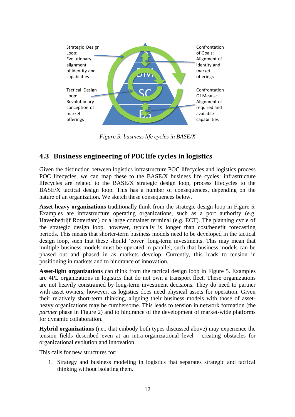

*Figure 5: business life cycles in BASE/X*

#### <span id="page-11-0"></span>**4.3 Business engineering of POC life cycles in logistics**

Given the distinction between logistics infrastructure POC lifecycles and logistics process POC lifecycles, we can map these to the BASE/X business life cycles: infrastructure lifecycles are related to the BASE/X strategic design loop, process lifecycles to the BASE/X tactical design loop. This has a number of consequences, depending on the nature of an organization. We sketch these consequences below.

**Asset-heavy organizations** traditionally think from the strategic design loop in Figure 5. Examples are infrastructure operating organizations, such as a port authority (e.g. Havenbedrijf Rotterdam) or a large container terminal (e.g. ECT). The planning cycle of the strategic design loop, however, typically is longer than cost/benefit forecasting periods. This means that shorter-term business models need to be developed in the tactical design loop, such that these should 'cover' long-term investments. This may mean that multiple business models must be operated in parallel, such that business models can be phased out and phased in as markets develop. Currently, this leads to tension in positioning in markets and to hindrance of innovation.

**Asset-light organizations** can think from the tactical design loop in Figure 5. Examples are 4PL organizations in logistics that do not own a transport fleet. These organizations are not heavily constrained by long-term investment decisions. They do need to partner with asset owners, however, as logistics does need physical assets for operation. Given their relatively short-term thinking, aligning their business models with those of assetheavy organizations may be cumbersome. This leads to tension in network formation (the *partner* phase in Figure 2) and to hindrance of the development of market-wide platforms for dynamic collaboration.

**Hybrid organizations** (i.e., that embody both types discussed above) may experience the tension fields described even at an intra-organizational level - creating obstacles for organizational evolution and innovation.

This calls for new structures for:

1. Strategy and business modeling in logistics that separates strategic and tactical thinking without isolating them.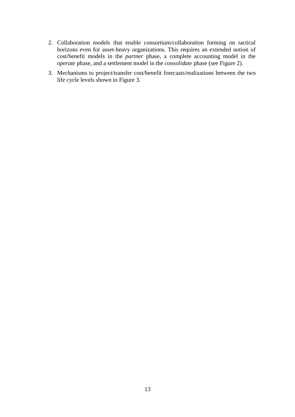- 2. Collaboration models that enable consortium/collaboration forming on tactical horizons even for asset-heavy organizations. This requires an extended notion of cost/benefit models in the *partner* phase, a complete accounting model in the *operate* phase, and a settlement model in the *consolidate* phase (see Figure 2).
- 3. Mechanisms to project/transfer cost/benefit forecasts/realizations between the two life cycle levels shown in Figure 3.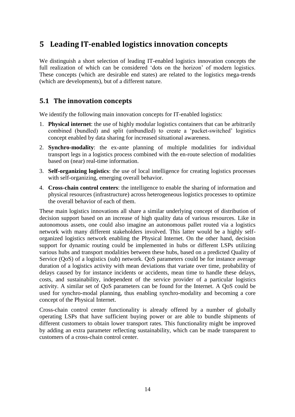### <span id="page-13-0"></span>**5 Leading IT-enabled logistics innovation concepts**

We distinguish a short selection of leading IT-enabled logistics innovation concepts the full realization of which can be considered 'dots on the horizon' of modern logistics. These concepts (which are desirable end states) are related to the logistics mega-trends (which are developments), but of a different nature.

#### <span id="page-13-1"></span>**5.1 The innovation concepts**

We identify the following main innovation concepts for IT-enabled logistics:

- 1. **Physical internet**: the use of highly modular logistics containers that can be arbitrarily combined (bundled) and split (unbundled) to create a 'packet-switched' logistics concept enabled by data sharing for increased situational awareness.
- 2. **Synchro-modality**: the ex-ante planning of multiple modalities for individual transport legs in a logistics process combined with the en-route selection of modalities based on (near) real-time information.
- 3. **Self-organizing logistics**: the use of local intelligence for creating logistics processes with self-organizing, emerging overall behavior.
- 4. **Cross-chain control centers**: the intelligence to enable the sharing of information and physical resources (infrastructure) across heterogeneous logistics processes to optimize the overall behavior of each of them.

These main logistics innovations all share a similar underlying concept of distribution of decision support based on an increase of high quality data of various resources. Like in autonomous assets, one could also imagine an autonomous pallet routed via a logistics network with many different stakeholders involved. This latter would be a highly selforganized logistics network enabling the Physical Internet. On the other hand, decision support for dynamic routing could be implemented in hubs or different LSPs utilizing various hubs and transport modalities between these hubs, based on a predicted Quality of Service (QoS) of a logistics (sub) network. QoS parameters could be for instance average duration of a logistics activity with mean deviations that variate over time, probability of delays caused by for instance incidents or accidents, mean time to handle these delays, costs, and sustainability, independent of the service provider of a particular logistics activity. A similar set of QoS parameters can be found for the Internet. A QoS could be used for synchro-modal planning, thus enabling synchro-modality and becoming a core concept of the Physical Internet.

Cross-chain control center functionality is already offered by a number of globally operating LSPs that have sufficient buying power or are able to bundle shipments of different customers to obtain lower transport rates. This functionality might be improved by adding an extra parameter reflecting sustainability, which can be made transparent to customers of a cross-chain control center.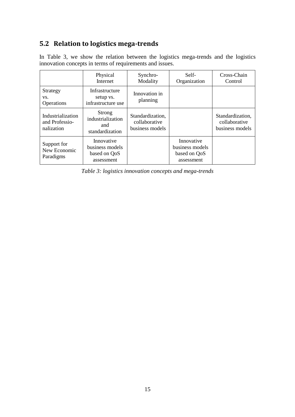### <span id="page-14-0"></span>**5.2 Relation to logistics mega-trends**

|                                                   | Physical<br>Internet                                        | Synchro-<br>Modality                                 | Self-<br>Organization                                       | Cross-Chain<br>Control                               |
|---------------------------------------------------|-------------------------------------------------------------|------------------------------------------------------|-------------------------------------------------------------|------------------------------------------------------|
| Strategy<br>VS.<br>Operations                     | Infrastructure<br>setup vs.<br>infrastructure use           | Innovation in<br>planning                            |                                                             |                                                      |
| Industrialization<br>and Professio-<br>nalization | Strong<br>industrialization<br>and<br>standardization       | Standardization,<br>collaborative<br>business models |                                                             | Standardization,<br>collaborative<br>business models |
| Support for<br>New Economic<br>Paradigms          | Innovative<br>business models<br>based on QoS<br>assessment |                                                      | Innovative<br>business models<br>based on QoS<br>assessment |                                                      |

In Table 3, we show the relation between the logistics mega-trends and the logistics innovation concepts in terms of requirements and issues.

*Table 3: logistics innovation concepts and mega-trends*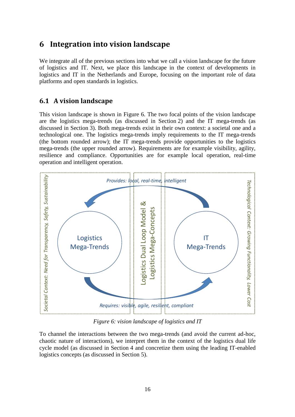### <span id="page-15-0"></span>**6 Integration into vision landscape**

We integrate all of the previous sections into what we call a vision landscape for the future of logistics and IT. Next, we place this landscape in the context of developments in logistics and IT in the Netherlands and Europe, focusing on the important role of data platforms and open standards in logistics.

#### <span id="page-15-1"></span>**6.1 A vision landscape**

This vision landscape is shown in Figure 6. The two focal points of the vision landscape are the logistics mega-trends (as discussed in Section 2) and the IT mega-trends (as discussed in Section 3). Both mega-trends exist in their own context: a societal one and a technological one. The logistics mega-trends imply requirements to the IT mega-trends (the bottom rounded arrow); the IT mega-trends provide opportunities to the logistics mega-trends (the upper rounded arrow). Requirements are for example visibility, agility, resilience and compliance. Opportunities are for example local operation, real-time operation and intelligent operation.



*Figure 6: vision landscape of logistics and IT*

To channel the interactions between the two mega-trends (and avoid the current ad-hoc, chaotic nature of interactions), we interpret them in the context of the logistics dual life cycle model (as discussed in Section 4 and concretize them using the leading IT-enabled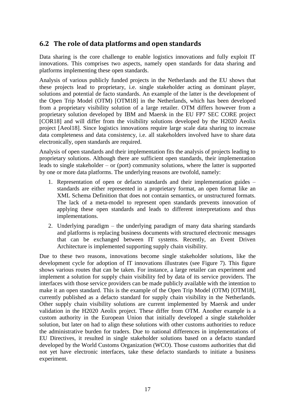#### <span id="page-16-0"></span>**6.2 The role of data platforms and open standards**

Data sharing is the core challenge to enable logistics innovations and fully exploit IT innovations. This comprises two aspects, namely open standards for data sharing and platforms implementing these open standards.

Analysis of various publicly funded projects in the Netherlands and the EU shows that these projects lead to proprietary, i.e. single stakeholder acting as dominant player, solutions and potential de facto standards. An example of the latter is the development of the Open Trip Model (OTM) [OTM18] in the Netherlands, which has been developed from a proprietary visibility solution of a large retailer. OTM differs however from a proprietary solution developed by IBM and Maersk in the EU FP7 SEC CORE project [COR18] and will differ from the visibility solutions developed by the H2020 Aeolix project [Aeol18]. Since logistics innovations require large scale data sharing to increase data completeness and data consistency, i.e. all stakeholders involved have to share data electronically, open standards are required.

Analysis of open standards and their implementation fits the analysis of projects leading to proprietary solutions. Although there are sufficient open standards, their implementation leads to single stakeholder – or (port) community solutions, where the latter is supported by one or more data platforms. The underlying reasons are twofold, namely:

- 1. Representation of open or defacto standards and their implementation guides standards are either represented in a proprietary format, an open format like an XML Schema Definition that does not contain semantics, or unstructured formats. The lack of a meta-model to represent open standards prevents innovation of applying these open standards and leads to different interpretations and thus implementations.
- 2. Underlying paradigm the underlying paradigm of many data sharing standards and platforms is replacing business documents with structured electronic messages that can be exchanged between IT systems. Recently, an Event Driven Architecture is implemented supporting supply chain visibility.

Due to these two reasons, innovations become single stakeholder solutions, like the development cycle for adoption of IT innovations illustrates (see Figure 7). This figure shows various routes that can be taken. For instance, a large retailer can experiment and implement a solution for supply chain visibility fed by data of its service providers. The interfaces with those service providers can be made publicly available with the intention to make it an open standard. This is the example of the Open Trip Model (OTM) [OTM18], currently published as a defacto standard for supply chain visibility in the Netherlands. Other supply chain visibility solutions are current implemented by Maersk and under validation in the H2020 Aeolix project. These differ from OTM. Another example is a custom authority in the European Union that initially developed a single stakeholder solution, but later on had to align these solutions with other customs authorities to reduce the administrative burden for traders. Due to national differences in implementations of EU Directives, it resulted in single stakeholder solutions based on a defacto standard developed by the World Customs Organization (WCO). Those customs authorities that did not yet have electronic interfaces, take these defacto standards to initiate a business experiment.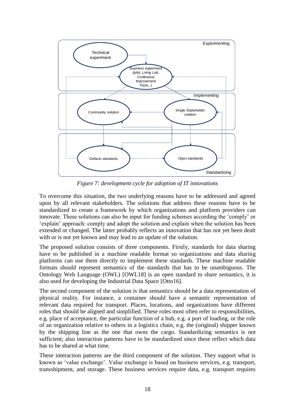

*Figure 7: development cycle for adoption of IT innovations*

To overcome this situation, the two underlying reasons have to be addressed and agreed upon by all relevant stakeholders. The solutions that address these reasons have to be standardized to create a framework by which organizations and platform providers can innovate. These solutions can also be input for funding schemes according the 'comply' or 'explain' approach: comply and adopt the solution and explain when the solution has been extended or changed. The latter probably reflects an innovation that has not yet been dealt with or is not yet known and may lead to an update of the solution.

The proposed solution consists of three components. Firstly, standards for data sharing have to be published in a machine readable format so organizations and data sharing platforms can use them directly to implement these standards. These machine readable formats should represent semantics of the standards that has to be unambiguous. The Ontology Web Language (OWL) [OWL18] is an open standard to share semantics, it is also used for developing the Industrial Data Space [Otto16].

The second component of the solution is that semantics should be a data representation of physical reality. For instance, a container should have a semantic representation of relevant data required for transport. Places, locations, and organizations have different roles that should be aligned and simplified. These roles most often refer to responsibilities, e.g. place of acceptance, the particular function of a hub, e.g. a port of loading, or the role of an organization relative to others in a logistics chain, e.g. the (original) shipper known by the shipping line as the one that owns the cargo. Standardizing semantics is not sufficient; also interaction patterns have to be standardized since these reflect which data has to be shared at what time.

These interaction patterns are the third component of the solution. They support what is known as 'value exchange'. Value exchange is based on business services, e.g. transport, transshipment, and storage. These business services require data, e.g. transport requires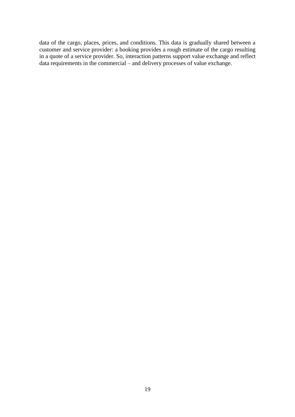data of the cargo, places, prices, and conditions. This data is gradually shared between a customer and service provider: a booking provides a rough estimate of the cargo resulting in a quote of a service provider. So, interaction patterns support value exchange and reflect data requirements in the commercial – and delivery processes of value exchange.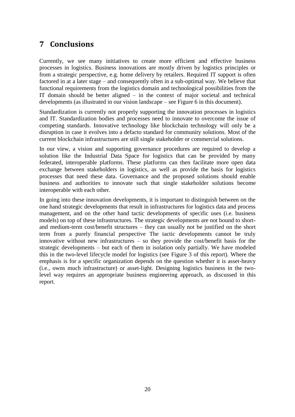### <span id="page-19-0"></span>**7 Conclusions**

Currently, we see many initiatives to create more efficient and effective business processes in logistics. Business innovations are mostly driven by logistics principles or from a strategic perspective, e.g. home delivery by retailers. Required IT support is often factored in at a later stage – and consequently often in a sub-optimal way. We believe that functional requirements from the logistics domain and technological possibilities from the IT domain should be better aligned – in the context of major societal and technical developments (as illustrated in our vision landscape – see Figure 6 in this document).

Standardization is currently not properly supporting the innovation processes in logistics and IT. Standardization bodies and processes need to innovate to overcome the issue of competing standards. Innovative technology like blockchain technology will only be a disruption in case it evolves into a defacto standard for community solutions. Most of the current blockchain infrastructures are still single stakeholder or commercial solutions.

In our view, a vision and supporting governance procedures are required to develop a solution like the Industrial Data Space for logistics that can be provided by many federated, interoperable platforms. These platforms can then facilitate more open data exchange between stakeholders in logistics, as well as provide the basis for logistics processes that need these data. Governance and the proposed solutions should enable business and authorities to innovate such that single stakeholder solutions become interoperable with each other.

In going into these innovation developments, it is important to distinguish between on the one hand strategic developments that result in infrastructures for logistics data and process management, and on the other hand tactic developments of specific uses (i.e. business models) on top of these infrastructures. The strategic developments are not bound to shortand medium-term cost/benefit structures – they can usually not be justified on the short term from a purely financial perspective The tactic developments cannot be truly innovative without new infrastructures – so they provide the cost/benefit basis for the strategic developments – but each of them in isolation only partially. We have modeled this in the two-level lifecycle model for logistics (see Figure 3 of this report). Where the emphasis is for a specific organization depends on the question whether it is asset-heavy (i.e., owns much infrastructure) or asset-light. Designing logistics business in the twolevel way requires an appropriate business engineering approach, as discussed in this report.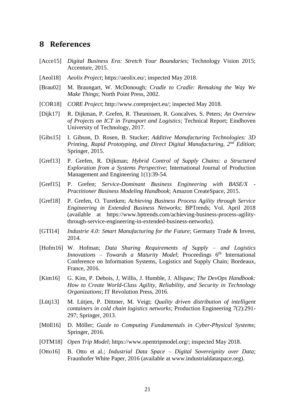#### <span id="page-20-0"></span>**8 References**

- [Acce15] *Digital Business Era: Stretch Your Boundaries*; Technology Vision 2015; Accenture, 2015.
- [Aeol18] *Aeolix Project*; [https://aeolix.eu/;](https://aeolix.eu/) inspected May 2018.
- [Brau02] M. Braungart, W. McDonough; *Cradle to Cradle: Remaking the Way We Make Things*; North Point Press, 2002.
- [COR18] *CORE Project*; [http://www.coreproject.eu/;](http://www.coreproject.eu/) inspected May 2018.
- [Dijk17] R. Dijkman, P. Grefen, R. Theunissen, R. Goncalves, S. Peters; *An Overview of Projects on ICT in Transport and Logistics*; Technical Report; Eindhoven University of Technology, 2017.
- [Gibs15] I. Gibson, D. Rosen, B. Stucker; *Additive Manufacturing Technologies: 3D Printing, Rapid Prototyping, and Direct Digital Manufacturing, 2nd Edition*; Springer, 2015.
- [Gref13] P. Grefen, R. Dijkman; *Hybrid Control of Supply Chains: a Structured Exploration from a Systems Perspective*; International Journal of Production Management and Engineering 1(1):39-54.
- [Gref15] P. Grefen; *Service-Dominant Business Engineering with BASE/X - Practitioner Business Modeling Handbook*; Amazon CreateSpace, 2015.
- [Gref18] P. Grefen, O. Turetken; *Achieving Business Process Agility through Service Engineering in Extended Business Networks*; BPTrends; Vol. April 2018 (available at https://www.bptrends.com/achieving-business-process-agilitythrough-service-engineering-in-extended-business-networks).
- [GTI14] *Industrie 4.0: Smart Manufacturing for the Future*; Germany Trade & Invest, 2014.
- [Hofm16] W. Hofman; *Data Sharing Requirements of Supply – and Logistics*  Innovations - Towards a Maturity Model; Proceedings 6<sup>th</sup> International Conference on Information Systems, Logistics and Supply Chain; Bordeaux, France, 2016.
- [Kim16] G. Kim, P. Debois, J, Willis, J. Humble, J. Allspaw; *The DevOps Handbook: How to Create World-Class Agility, Reliability, and Security in Technology Organizations*; IT Revolution Press, 2016.
- [Lütj13] M. Lütjen, P. Dittmer, M. Veigt; *Quality driven distribution of intelligent containers in cold chain logistics networks*; Production Engineering 7(2):291- 297; Springer, 2013.
- [Möll16] D. Möller; *Guide to Computing Fundamentals in Cyber-Physical Systems*; Springer, 2016.
- [OTM18] *Open Trip Model*; [https://www.opentripmodel.org/;](https://www.opentripmodel.org/) inspected May 2018.
- [Otto16] B. Otto et al.; *Industrial Data Space – Digital Sovereignity over Data*; Fraunhofer White Paper, 2016 (available at www.industrialdataspace.org).